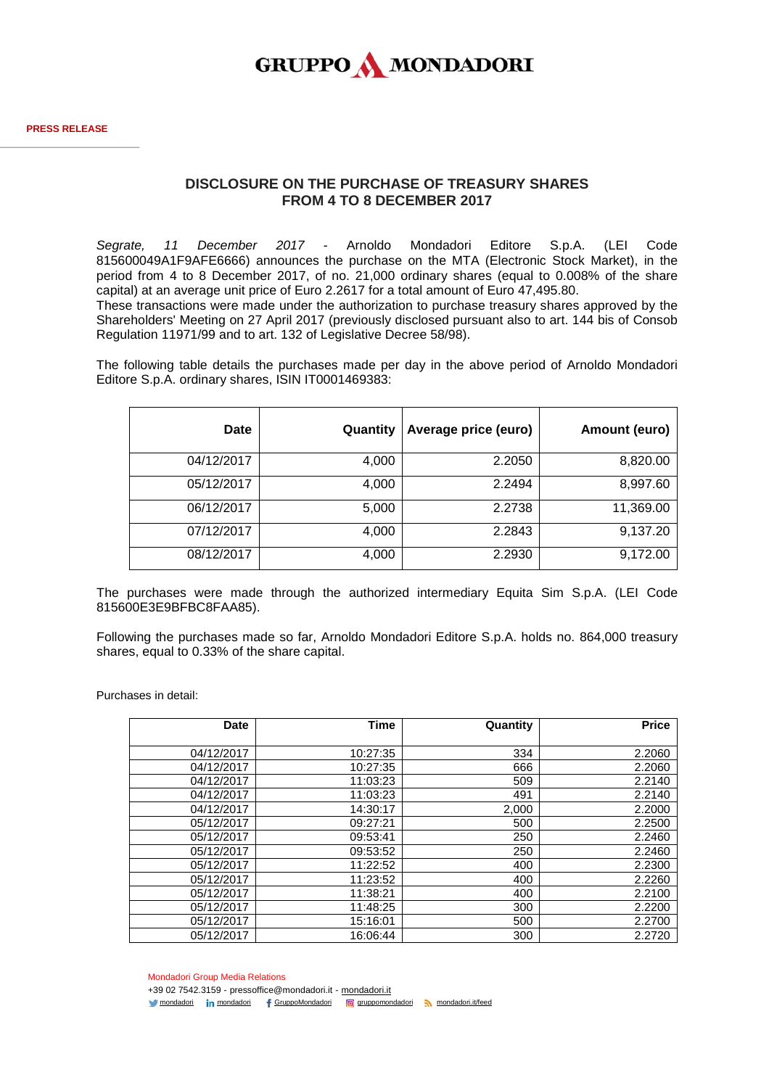

## **DISCLOSURE ON THE PURCHASE OF TREASURY SHARES FROM 4 TO 8 DECEMBER 2017**

*Segrate, 11 December 2017* - Arnoldo Mondadori Editore S.p.A. (LEI Code 815600049A1F9AFE6666) announces the purchase on the MTA (Electronic Stock Market), in the period from 4 to 8 December 2017, of no. 21,000 ordinary shares (equal to 0.008% of the share capital) at an average unit price of Euro 2.2617 for a total amount of Euro 47,495.80.

These transactions were made under the authorization to purchase treasury shares approved by the Shareholders' Meeting on 27 April 2017 (previously disclosed pursuant also to art. 144 bis of Consob Regulation 11971/99 and to art. 132 of Legislative Decree 58/98).

The following table details the purchases made per day in the above period of Arnoldo Mondadori Editore S.p.A. ordinary shares, ISIN IT0001469383:

| Date       | Quantity | Average price (euro) | Amount (euro) |
|------------|----------|----------------------|---------------|
| 04/12/2017 | 4,000    | 2.2050               | 8,820.00      |
| 05/12/2017 | 4,000    | 2.2494               | 8,997.60      |
| 06/12/2017 | 5,000    | 2.2738               | 11,369.00     |
| 07/12/2017 | 4,000    | 2.2843               | 9,137.20      |
| 08/12/2017 | 4,000    | 2.2930               | 9,172.00      |

The purchases were made through the authorized intermediary Equita Sim S.p.A. (LEI Code 815600E3E9BFBC8FAA85).

Following the purchases made so far, Arnoldo Mondadori Editore S.p.A. holds no. 864,000 treasury shares, equal to 0.33% of the share capital.

Purchases in detail:

| <b>Date</b> | <b>Time</b> | Quantity | <b>Price</b> |
|-------------|-------------|----------|--------------|
|             |             |          |              |
| 04/12/2017  | 10:27:35    | 334      | 2.2060       |
| 04/12/2017  | 10:27:35    | 666      | 2.2060       |
| 04/12/2017  | 11:03:23    | 509      | 2.2140       |
| 04/12/2017  | 11:03:23    | 491      | 2.2140       |
| 04/12/2017  | 14:30:17    | 2,000    | 2.2000       |
| 05/12/2017  | 09:27:21    | 500      | 2.2500       |
| 05/12/2017  | 09:53:41    | 250      | 2.2460       |
| 05/12/2017  | 09:53:52    | 250      | 2.2460       |
| 05/12/2017  | 11:22:52    | 400      | 2.2300       |
| 05/12/2017  | 11:23:52    | 400      | 2.2260       |
| 05/12/2017  | 11:38:21    | 400      | 2.2100       |
| 05/12/2017  | 11:48:25    | 300      | 2.2200       |
| 05/12/2017  | 15:16:01    | 500      | 2.2700       |
| 05/12/2017  | 16:06:44    | 300      | 2.2720       |

Mondadori Group Media Relations

+39 02 7542.3159 - pressoffice@mondadori.it - [mondadori.it](http://www.mondadori.it/) [mondadori](http://www.linkedin.com/company/mondadori) in mondadori f [GruppoMondadori](http://www.facebook.com/GruppoMondadori) @ [gruppomondadori](https://www.instagram.com/gruppomondadori/) [mondadori.it/feed](http://www.mondadori.it/feed)